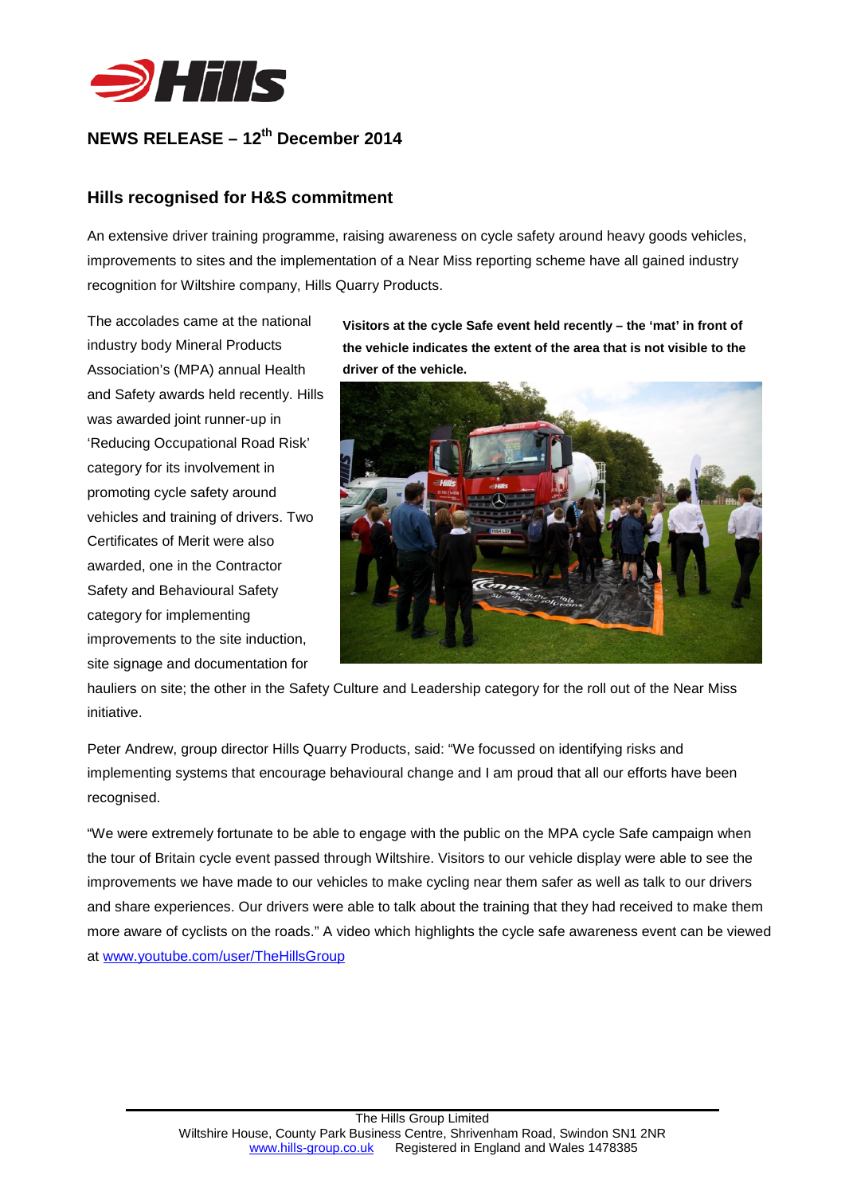

## **NEWS RELEASE – 12th December 2014**

## **Hills recognised for H&S commitment**

An extensive driver training programme, raising awareness on cycle safety around heavy goods vehicles, improvements to sites and the implementation of a Near Miss reporting scheme have all gained industry recognition for Wiltshire company, Hills Quarry Products.

The accolades came at the national industry body Mineral Products Association's (MPA) annual Health and Safety awards held recently. Hills was awarded joint runner-up in 'Reducing Occupational Road Risk' category for its involvement in promoting cycle safety around vehicles and training of drivers. Two Certificates of Merit were also awarded, one in the Contractor Safety and Behavioural Safety category for implementing improvements to the site induction, site signage and documentation for

**Visitors at the cycle Safe event held recently – the 'mat' in front of the vehicle indicates the extent of the area that is not visible to the driver of the vehicle.**



hauliers on site; the other in the Safety Culture and Leadership category for the roll out of the Near Miss initiative.

Peter Andrew, group director Hills Quarry Products, said: "We focussed on identifying risks and implementing systems that encourage behavioural change and I am proud that all our efforts have been recognised.

"We were extremely fortunate to be able to engage with the public on the MPA cycle Safe campaign when the tour of Britain cycle event passed through Wiltshire. Visitors to our vehicle display were able to see the improvements we have made to our vehicles to make cycling near them safer as well as talk to our drivers and share experiences. Our drivers were able to talk about the training that they had received to make them more aware of cyclists on the roads." A video which highlights the cycle safe awareness event can be viewed at [www.youtube.com/user/TheHillsGroup](http://www.youtube.com/user/TheHillsGroup)